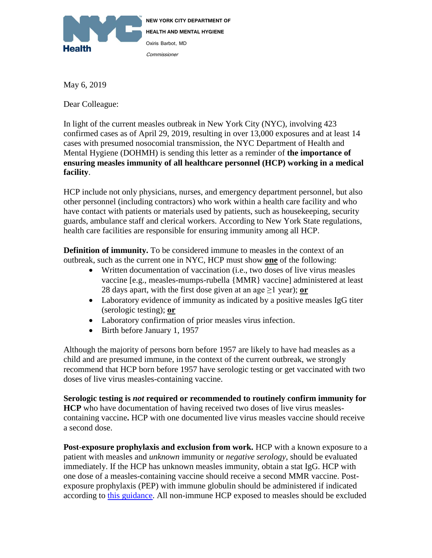

**NEW YORK CITY DEPARTMENT OF HEALTH AND MENTAL HYGIENE** Oxiris Barbot, MD Commissioner

May 6, 2019

Dear Colleague:

In light of the current measles outbreak in New York City (NYC), involving 423 confirmed cases as of April 29, 2019, resulting in over 13,000 exposures and at least 14 cases with presumed nosocomial transmission, the NYC Department of Health and Mental Hygiene (DOHMH) is sending this letter as a reminder of **the importance of ensuring measles immunity of all healthcare personnel (HCP) working in a medical facility**.

HCP include not only physicians, nurses, and emergency department personnel, but also other personnel (including contractors) who work within a health care facility and who have contact with patients or materials used by patients, such as housekeeping, security guards, ambulance staff and clerical workers. According to New York State regulations, health care facilities are responsible for ensuring immunity among all HCP.

**Definition of immunity.** To be considered immune to measles in the context of an outbreak, such as the current one in NYC, HCP must show **one** of the following:

- Written documentation of vaccination (i.e., two doses of live virus measles vaccine [e.g., measles-mumps-rubella {MMR} vaccine] administered at least 28 days apart, with the first dose given at an age  $\geq$ 1 year); **or**
- Laboratory evidence of immunity as indicated by a positive measles IgG titer (serologic testing); **or**
- Laboratory confirmation of prior measles virus infection.
- Birth before January 1, 1957

Although the majority of persons born before 1957 are likely to have had measles as a child and are presumed immune, in the context of the current outbreak, we strongly recommend that HCP born before 1957 have serologic testing or get vaccinated with two doses of live virus measles-containing vaccine.

**Serologic testing is** *not* **required or recommended to routinely confirm immunity for HCP** who have documentation of having received two doses of live virus measlescontaining vaccine**.** HCP with one documented live virus measles vaccine should receive a second dose.

Post-exposure prophylaxis and exclusion from work. HCP with a known exposure to a patient with measles and *unknown* immunity or *negative serology*, should be evaluated immediately. If the HCP has unknown measles immunity, obtain a stat IgG. HCP with one dose of a measles-containing vaccine should receive a second MMR vaccine. Postexposure prophylaxis (PEP) with immune globulin should be administered if indicated according to [this guidance.](https://www1.nyc.gov/assets/doh/downloads/pdf/imm/pep-measles-providers.pdf) All non-immune HCP exposed to measles should be excluded